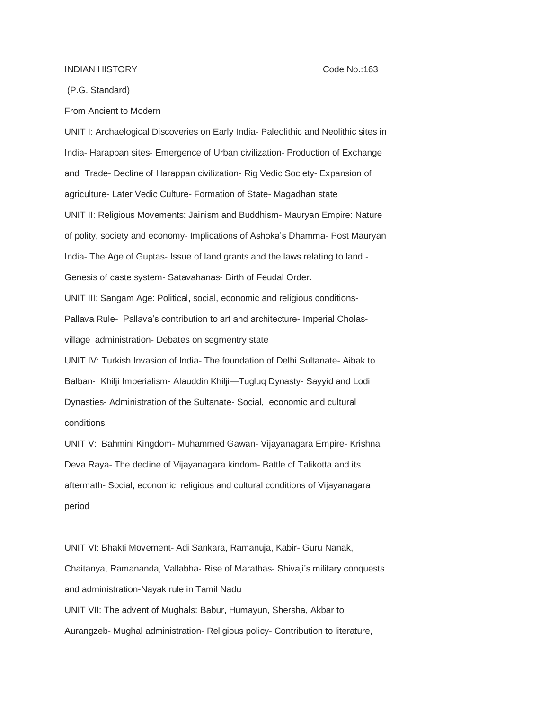## INDIAN HISTORY Code No.:163

(P.G. Standard)

From Ancient to Modern

UNIT I: Archaelogical Discoveries on Early India- Paleolithic and Neolithic sites in India- Harappan sites- Emergence of Urban civilization- Production of Exchange and Trade- Decline of Harappan civilization- Rig Vedic Society- Expansion of agriculture- Later Vedic Culture- Formation of State- Magadhan state UNIT II: Religious Movements: Jainism and Buddhism- Mauryan Empire: Nature of polity, society and economy- Implications of Ashoka's Dhamma- Post Mauryan India- The Age of Guptas- Issue of land grants and the laws relating to land - Genesis of caste system- Satavahanas- Birth of Feudal Order. UNIT III: Sangam Age: Political, social, economic and religious conditions-Pallava Rule- Pallava's contribution to art and architecture- Imperial Cholasvillage administration- Debates on segmentry state UNIT IV: Turkish Invasion of India- The foundation of Delhi Sultanate- Aibak to Balban- Khilji Imperialism- Alauddin Khilji—Tugluq Dynasty- Sayyid and Lodi Dynasties- Administration of the Sultanate- Social, economic and cultural conditions

UNIT V: Bahmini Kingdom- Muhammed Gawan- Vijayanagara Empire- Krishna Deva Raya- The decline of Vijayanagara kindom- Battle of Talikotta and its aftermath- Social, economic, religious and cultural conditions of Vijayanagara period

UNIT VI: Bhakti Movement- Adi Sankara, Ramanuja, Kabir- Guru Nanak, Chaitanya, Ramananda, Vallabha- Rise of Marathas- Shivaji's military conquests and administration-Nayak rule in Tamil Nadu UNIT VII: The advent of Mughals: Babur, Humayun, Shersha, Akbar to Aurangzeb- Mughal administration- Religious policy- Contribution to literature,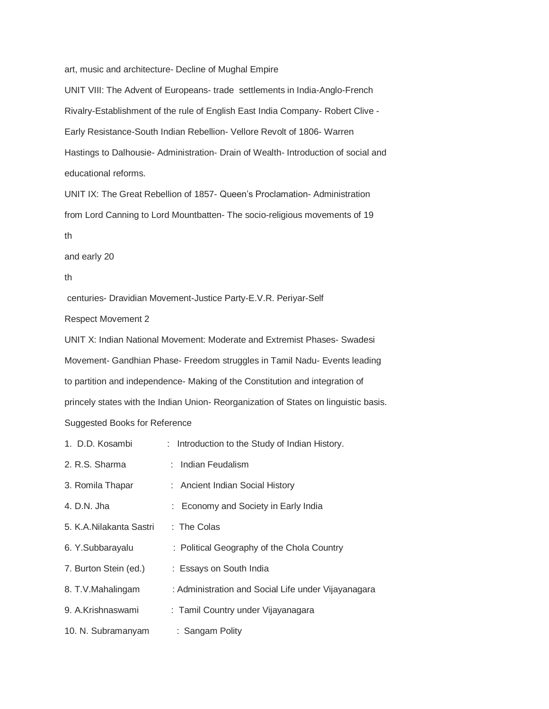art, music and architecture- Decline of Mughal Empire

UNIT VIII: The Advent of Europeans- trade settlements in India-Anglo-French Rivalry-Establishment of the rule of English East India Company- Robert Clive - Early Resistance-South Indian Rebellion- Vellore Revolt of 1806- Warren Hastings to Dalhousie- Administration- Drain of Wealth- Introduction of social and educational reforms.

UNIT IX: The Great Rebellion of 1857- Queen's Proclamation- Administration from Lord Canning to Lord Mountbatten- The socio-religious movements of 19 th

and early 20

## th

centuries- Dravidian Movement-Justice Party-E.V.R. Periyar-Self

Respect Movement 2

UNIT X: Indian National Movement: Moderate and Extremist Phases- Swadesi Movement- Gandhian Phase- Freedom struggles in Tamil Nadu- Events leading to partition and independence- Making of the Constitution and integration of princely states with the Indian Union- Reorganization of States on linguistic basis. Suggested Books for Reference

| 1. D.D. Kosambi         | : Introduction to the Study of Indian History.      |  |
|-------------------------|-----------------------------------------------------|--|
| 2. R.S. Sharma          | : Indian Feudalism                                  |  |
| 3. Romila Thapar        | : Ancient Indian Social History                     |  |
| 4. D.N. Jha             | : Economy and Society in Early India                |  |
| 5. K.A.Nilakanta Sastri | $:$ The Colas                                       |  |
| 6. Y.Subbarayalu        | : Political Geography of the Chola Country          |  |
| 7. Burton Stein (ed.)   | : Essays on South India                             |  |
| 8. T.V.Mahalingam       | : Administration and Social Life under Vijayanagara |  |
| 9. A.Krishnaswami       | : Tamil Country under Vijayanagara                  |  |
| 10. N. Subramanyam      | : Sangam Polity                                     |  |